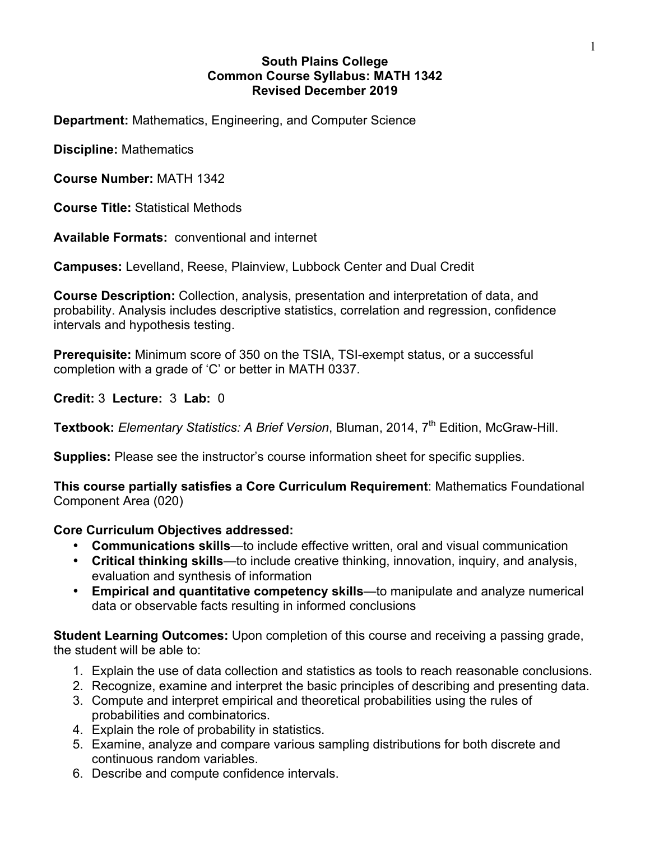#### **South Plains College Common Course Syllabus: MATH 1342 Revised December 2019**

**Department:** Mathematics, Engineering, and Computer Science

**Discipline:** Mathematics

**Course Number:** MATH 1342

**Course Title:** Statistical Methods

**Available Formats:** conventional and internet

**Campuses:** Levelland, Reese, Plainview, Lubbock Center and Dual Credit

**Course Description:** Collection, analysis, presentation and interpretation of data, and probability. Analysis includes descriptive statistics, correlation and regression, confidence intervals and hypothesis testing.

**Prerequisite:** Minimum score of 350 on the TSIA, TSI-exempt status, or a successful completion with a grade of 'C' or better in MATH 0337.

**Credit:** 3 **Lecture:** 3 **Lab:** 0

Textbook: Elementary Statistics: A Brief Version, Bluman, 2014, 7<sup>th</sup> Edition, McGraw-Hill.

**Supplies:** Please see the instructor's course information sheet for specific supplies.

**This course partially satisfies a Core Curriculum Requirement**: Mathematics Foundational Component Area (020)

### **Core Curriculum Objectives addressed:**

- **Communications skills**—to include effective written, oral and visual communication
- **Critical thinking skills**—to include creative thinking, innovation, inquiry, and analysis, evaluation and synthesis of information
- **Empirical and quantitative competency skills**—to manipulate and analyze numerical data or observable facts resulting in informed conclusions

**Student Learning Outcomes:** Upon completion of this course and receiving a passing grade, the student will be able to:

- 1. Explain the use of data collection and statistics as tools to reach reasonable conclusions.
- 2. Recognize, examine and interpret the basic principles of describing and presenting data.
- 3. Compute and interpret empirical and theoretical probabilities using the rules of probabilities and combinatorics.
- 4. Explain the role of probability in statistics.
- 5. Examine, analyze and compare various sampling distributions for both discrete and continuous random variables.
- 6. Describe and compute confidence intervals.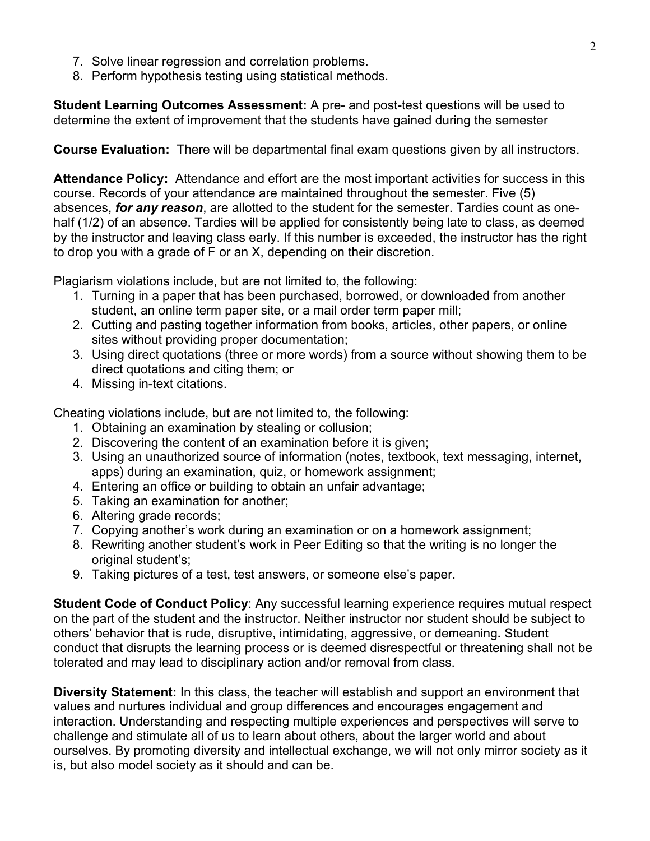- 7. Solve linear regression and correlation problems.
- 8. Perform hypothesis testing using statistical methods.

**Student Learning Outcomes Assessment:** A pre- and post-test questions will be used to determine the extent of improvement that the students have gained during the semester

**Course Evaluation:** There will be departmental final exam questions given by all instructors.

**Attendance Policy:** Attendance and effort are the most important activities for success in this course. Records of your attendance are maintained throughout the semester. Five (5) absences, *for any reason*, are allotted to the student for the semester. Tardies count as onehalf (1/2) of an absence. Tardies will be applied for consistently being late to class, as deemed by the instructor and leaving class early. If this number is exceeded, the instructor has the right to drop you with a grade of F or an X, depending on their discretion.

Plagiarism violations include, but are not limited to, the following:

- 1. Turning in a paper that has been purchased, borrowed, or downloaded from another student, an online term paper site, or a mail order term paper mill;
- 2. Cutting and pasting together information from books, articles, other papers, or online sites without providing proper documentation;
- 3. Using direct quotations (three or more words) from a source without showing them to be direct quotations and citing them; or
- 4. Missing in-text citations.

Cheating violations include, but are not limited to, the following:

- 1. Obtaining an examination by stealing or collusion;
- 2. Discovering the content of an examination before it is given;
- 3. Using an unauthorized source of information (notes, textbook, text messaging, internet, apps) during an examination, quiz, or homework assignment;
- 4. Entering an office or building to obtain an unfair advantage;
- 5. Taking an examination for another;
- 6. Altering grade records;
- 7. Copying another's work during an examination or on a homework assignment;
- 8. Rewriting another student's work in Peer Editing so that the writing is no longer the original student's;
- 9. Taking pictures of a test, test answers, or someone else's paper.

**Student Code of Conduct Policy**: Any successful learning experience requires mutual respect on the part of the student and the instructor. Neither instructor nor student should be subject to others' behavior that is rude, disruptive, intimidating, aggressive, or demeaning**.** Student conduct that disrupts the learning process or is deemed disrespectful or threatening shall not be tolerated and may lead to disciplinary action and/or removal from class.

**Diversity Statement:** In this class, the teacher will establish and support an environment that values and nurtures individual and group differences and encourages engagement and interaction. Understanding and respecting multiple experiences and perspectives will serve to challenge and stimulate all of us to learn about others, about the larger world and about ourselves. By promoting diversity and intellectual exchange, we will not only mirror society as it is, but also model society as it should and can be.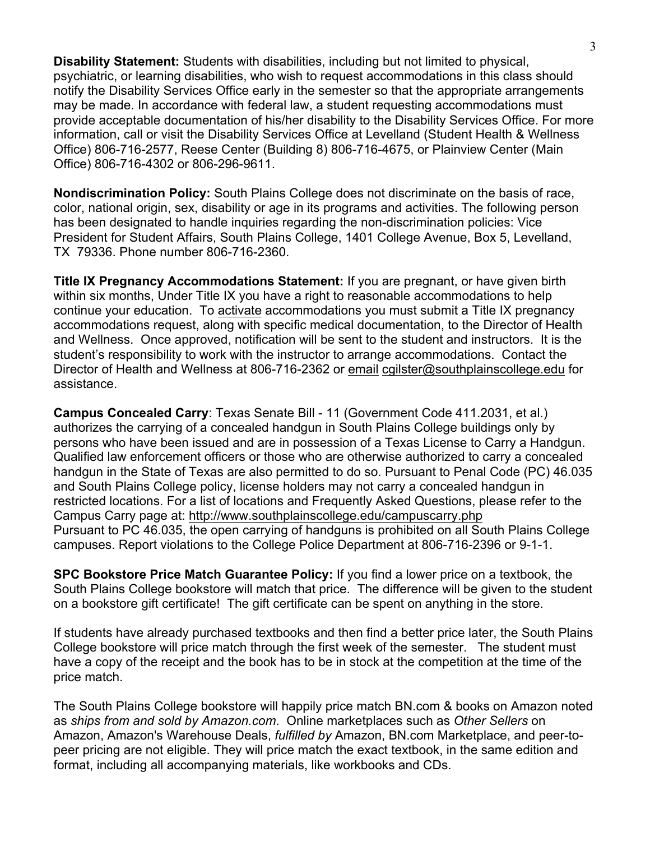**Disability Statement:** Students with disabilities, including but not limited to physical, psychiatric, or learning disabilities, who wish to request accommodations in this class should notify the Disability Services Office early in the semester so that the appropriate arrangements may be made. In accordance with federal law, a student requesting accommodations must provide acceptable documentation of his/her disability to the Disability Services Office. For more information, call or visit the Disability Services Office at Levelland (Student Health & Wellness Office) 806-716-2577, Reese Center (Building 8) 806-716-4675, or Plainview Center (Main Office) 806-716-4302 or 806-296-9611.

**Nondiscrimination Policy:** South Plains College does not discriminate on the basis of race, color, national origin, sex, disability or age in its programs and activities. The following person has been designated to handle inquiries regarding the non-discrimination policies: Vice President for Student Affairs, South Plains College, 1401 College Avenue, Box 5, Levelland, TX 79336. Phone number 806-716-2360.

**Title IX Pregnancy Accommodations Statement:** If you are pregnant, or have given birth within six months, Under Title IX you have a right to reasonable accommodations to help continue your education. To activate accommodations you must submit a Title IX pregnancy accommodations request, along with specific medical documentation, to the Director of Health and Wellness. Once approved, notification will be sent to the student and instructors. It is the student's responsibility to work with the instructor to arrange accommodations. Contact the Director of Health and Wellness at 806-716-2362 or email cgilster@southplainscollege.edu for assistance.

**Campus Concealed Carry**: Texas Senate Bill - 11 (Government Code 411.2031, et al.) authorizes the carrying of a concealed handgun in South Plains College buildings only by persons who have been issued and are in possession of a Texas License to Carry a Handgun. Qualified law enforcement officers or those who are otherwise authorized to carry a concealed handgun in the State of Texas are also permitted to do so. Pursuant to Penal Code (PC) 46.035 and South Plains College policy, license holders may not carry a concealed handgun in restricted locations. For a list of locations and Frequently Asked Questions, please refer to the Campus Carry page at: http://www.southplainscollege.edu/campuscarry.php Pursuant to PC 46.035, the open carrying of handguns is prohibited on all South Plains College campuses. Report violations to the College Police Department at 806-716-2396 or 9-1-1.

**SPC Bookstore Price Match Guarantee Policy:** If you find a lower price on a textbook, the South Plains College bookstore will match that price. The difference will be given to the student on a bookstore gift certificate! The gift certificate can be spent on anything in the store.

If students have already purchased textbooks and then find a better price later, the South Plains College bookstore will price match through the first week of the semester. The student must have a copy of the receipt and the book has to be in stock at the competition at the time of the price match.

The South Plains College bookstore will happily price match BN.com & books on Amazon noted as *ships from and sold by Amazon.com*. Online marketplaces such as *Other Sellers* on Amazon, Amazon's Warehouse Deals, *fulfilled by* Amazon, BN.com Marketplace, and peer-topeer pricing are not eligible. They will price match the exact textbook, in the same edition and format, including all accompanying materials, like workbooks and CDs.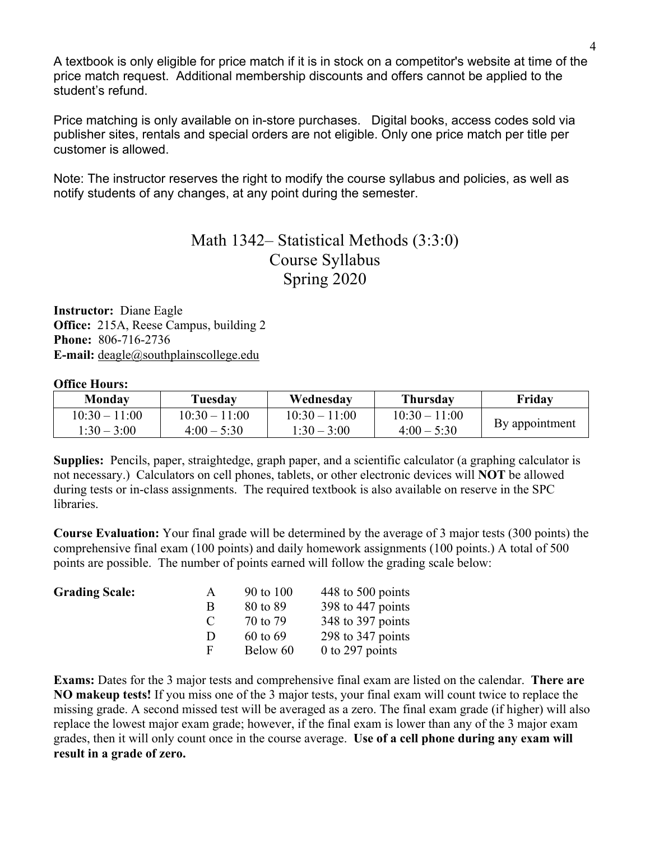A textbook is only eligible for price match if it is in stock on a competitor's website at time of the price match request. Additional membership discounts and offers cannot be applied to the student's refund.

Price matching is only available on in-store purchases. Digital books, access codes sold via publisher sites, rentals and special orders are not eligible. Only one price match per title per customer is allowed.

Note: The instructor reserves the right to modify the course syllabus and policies, as well as notify students of any changes, at any point during the semester.

### Math 1342– Statistical Methods (3:3:0) Course Syllabus Spring 2020

**Instructor:** Diane Eagle **Office:** 215A, Reese Campus, building 2 **Phone:** 806-716-2736 **E-mail:** deagle@southplainscollege.edu

#### **Office Hours:**

| Mondav          | Tuesday         | Wednesdav       | <b>Thursday</b> | Friday         |  |
|-----------------|-----------------|-----------------|-----------------|----------------|--|
| $10:30 - 11:00$ | $10.30 - 11.00$ | $10:30 - 11:00$ | $10:30 - 11:00$ |                |  |
| $1:30 - 3:00$   | $4:00 - 5:30$   | $1:30 - 3:00$   | $4:00 - 5:30$   | By appointment |  |

**Supplies:** Pencils, paper, straightedge, graph paper, and a scientific calculator (a graphing calculator is not necessary.) Calculators on cell phones, tablets, or other electronic devices will **NOT** be allowed during tests or in-class assignments. The required textbook is also available on reserve in the SPC libraries.

**Course Evaluation:** Your final grade will be determined by the average of 3 major tests (300 points) the comprehensive final exam (100 points) and daily homework assignments (100 points.) A total of 500 points are possible. The number of points earned will follow the grading scale below:

| <b>Grading Scale:</b> | $\mathsf{A}$  | 90 to 100    | 448 to 500 points |
|-----------------------|---------------|--------------|-------------------|
|                       | В             | 80 to 89     | 398 to 447 points |
|                       | $\mathcal{C}$ | 70 to 79     | 348 to 397 points |
|                       | $\mathbf{D}$  | $60$ to $69$ | 298 to 347 points |
|                       | н.            | Below 60     | $0$ to 297 points |

**Exams:** Dates for the 3 major tests and comprehensive final exam are listed on the calendar. **There are NO makeup tests!** If you miss one of the 3 major tests, your final exam will count twice to replace the missing grade. A second missed test will be averaged as a zero. The final exam grade (if higher) will also replace the lowest major exam grade; however, if the final exam is lower than any of the 3 major exam grades, then it will only count once in the course average. **Use of a cell phone during any exam will result in a grade of zero.**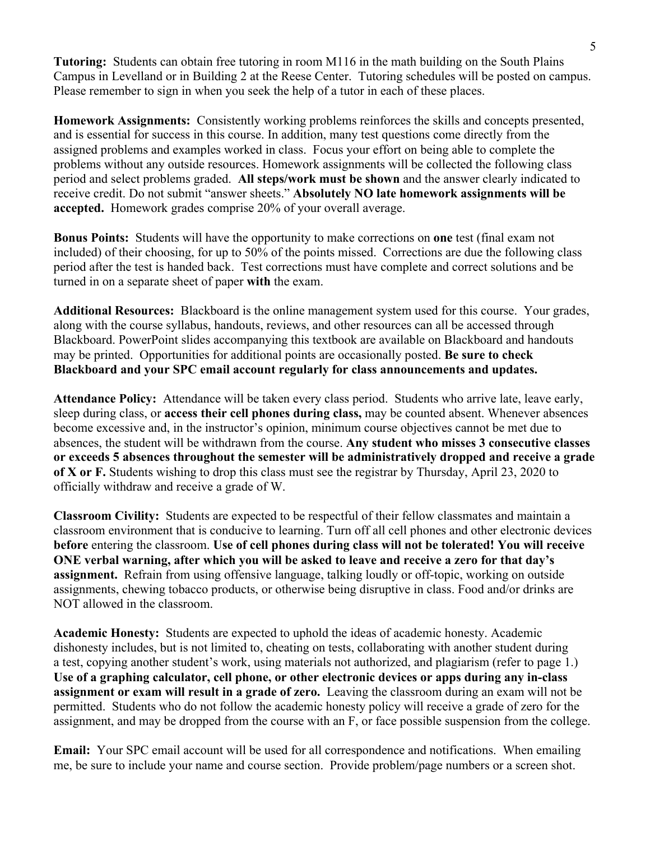**Tutoring:** Students can obtain free tutoring in room M116 in the math building on the South Plains Campus in Levelland or in Building 2 at the Reese Center. Tutoring schedules will be posted on campus. Please remember to sign in when you seek the help of a tutor in each of these places.

**Homework Assignments:** Consistently working problems reinforces the skills and concepts presented, and is essential for success in this course. In addition, many test questions come directly from the assigned problems and examples worked in class. Focus your effort on being able to complete the problems without any outside resources. Homework assignments will be collected the following class period and select problems graded. **All steps/work must be shown** and the answer clearly indicated to receive credit. Do not submit "answer sheets." **Absolutely NO late homework assignments will be accepted.** Homework grades comprise 20% of your overall average.

**Bonus Points:** Students will have the opportunity to make corrections on **one** test (final exam not included) of their choosing, for up to 50% of the points missed. Corrections are due the following class period after the test is handed back. Test corrections must have complete and correct solutions and be turned in on a separate sheet of paper **with** the exam.

**Additional Resources:** Blackboard is the online management system used for this course. Your grades, along with the course syllabus, handouts, reviews, and other resources can all be accessed through Blackboard. PowerPoint slides accompanying this textbook are available on Blackboard and handouts may be printed. Opportunities for additional points are occasionally posted. **Be sure to check Blackboard and your SPC email account regularly for class announcements and updates.**

**Attendance Policy:** Attendance will be taken every class period. Students who arrive late, leave early, sleep during class, or **access their cell phones during class,** may be counted absent. Whenever absences become excessive and, in the instructor's opinion, minimum course objectives cannot be met due to absences, the student will be withdrawn from the course. **Any student who misses 3 consecutive classes or exceeds 5 absences throughout the semester will be administratively dropped and receive a grade of X or F.** Students wishing to drop this class must see the registrar by Thursday, April 23, 2020 to officially withdraw and receive a grade of W.

**Classroom Civility:** Students are expected to be respectful of their fellow classmates and maintain a classroom environment that is conducive to learning. Turn off all cell phones and other electronic devices **before** entering the classroom. **Use of cell phones during class will not be tolerated! You will receive ONE verbal warning, after which you will be asked to leave and receive a zero for that day's assignment.** Refrain from using offensive language, talking loudly or off-topic, working on outside assignments, chewing tobacco products, or otherwise being disruptive in class. Food and/or drinks are NOT allowed in the classroom.

**Academic Honesty:** Students are expected to uphold the ideas of academic honesty. Academic dishonesty includes, but is not limited to, cheating on tests, collaborating with another student during a test, copying another student's work, using materials not authorized, and plagiarism (refer to page 1.) **Use of a graphing calculator, cell phone, or other electronic devices or apps during any in-class assignment or exam will result in a grade of zero.** Leaving the classroom during an exam will not be permitted. Students who do not follow the academic honesty policy will receive a grade of zero for the assignment, and may be dropped from the course with an F, or face possible suspension from the college.

**Email:** Your SPC email account will be used for all correspondence and notifications. When emailing me, be sure to include your name and course section. Provide problem/page numbers or a screen shot.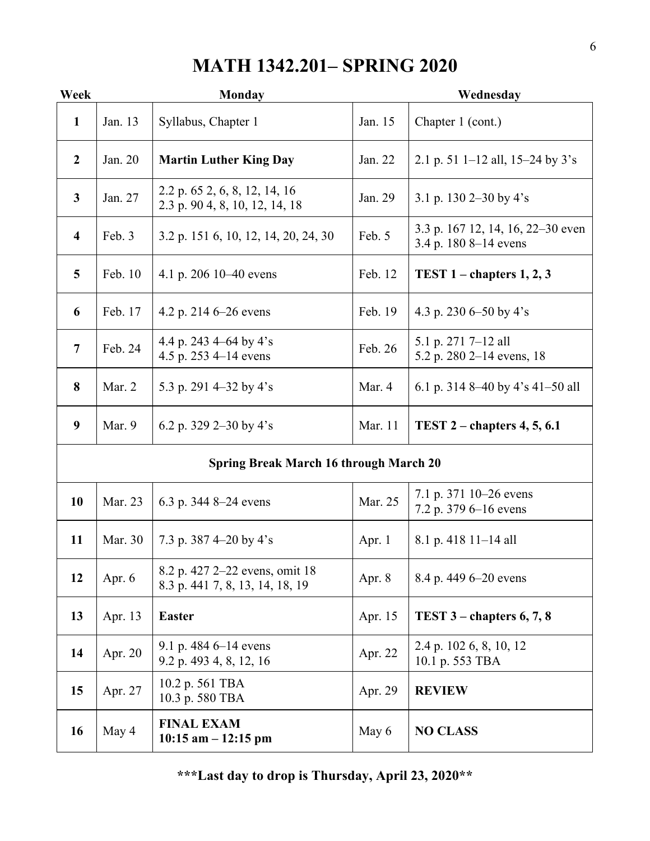# **MATH 1342.201– SPRING 2020**

| Week                                          | <b>Monday</b> |                                                                   | Wednesday |                                                            |  |
|-----------------------------------------------|---------------|-------------------------------------------------------------------|-----------|------------------------------------------------------------|--|
| $\mathbf{1}$                                  | Jan. 13       | Syllabus, Chapter 1                                               | Jan. 15   | Chapter 1 (cont.)                                          |  |
| $\overline{2}$                                | Jan. 20       | <b>Martin Luther King Day</b>                                     | Jan. 22   | 2.1 p. 51 1–12 all, 15–24 by $3's$                         |  |
| $\mathbf{3}$                                  | Jan. 27       | 2.2 p. 65 2, 6, 8, 12, 14, 16<br>2.3 p. 90 4, 8, 10, 12, 14, 18   | Jan. 29   | 3.1 p. 130 2–30 by 4's                                     |  |
| $\overline{\mathbf{4}}$                       | Feb. 3        | 3.2 p. 151 6, 10, 12, 14, 20, 24, 30                              | Feb. 5    | 3.3 p. 167 12, 14, 16, 22–30 even<br>3.4 p. 180 8–14 evens |  |
| 5                                             | Feb. 10       | 4.1 p. 206 10–40 evens                                            | Feb. 12   | TEST $1$ – chapters $1, 2, 3$                              |  |
| 6                                             | Feb. 17       | 4.2 p. 214 $6-26$ evens                                           | Feb. 19   | 4.3 p. 230 6–50 by 4's                                     |  |
| $\overline{7}$                                | Feb. 24       | 4.4 p. 243 4–64 by 4's<br>4.5 p. 253 4–14 evens                   | Feb. 26   | 5.1 p. 271 7-12 all<br>5.2 p. 280 2–14 evens, 18           |  |
| 8                                             | Mar. 2        | 5.3 p. 291 4–32 by 4's                                            | Mar. 4    | 6.1 p. 314 8–40 by 4's 41–50 all                           |  |
| 9                                             | Mar. 9        | 6.2 p. 329 2–30 by 4's                                            | Mar. 11   | TEST $2$ – chapters 4, 5, 6.1                              |  |
| <b>Spring Break March 16 through March 20</b> |               |                                                                   |           |                                                            |  |
| 10                                            | Mar. 23       | 6.3 p. 344 8–24 evens                                             | Mar. 25   | 7.1 p. 371 10–26 evens<br>7.2 p. 379 6–16 evens            |  |
| 11                                            | Mar. 30       | 7.3 p. 387 4–20 by 4's                                            | Apr. $1$  | 8.1 p. 418 11–14 all                                       |  |
| 12                                            | Apr. $6$      | 8.2 p. 427 2–22 evens, omit 18<br>8.3 p. 441 7, 8, 13, 14, 18, 19 | Apr. 8    | 8.4 p. 449 6–20 evens                                      |  |
| 13                                            | Apr. 13       | <b>Easter</b>                                                     |           | TEST $3$ – chapters 6, 7, 8                                |  |
| 14                                            | Apr. 20       | 9.1 p. 484 $6-14$ evens<br>9.2 p. 493 4, 8, 12, 16                | Apr. 22   | 2.4 p. 102 6, 8, 10, 12<br>10.1 p. 553 TBA                 |  |
| 15                                            | Apr. 27       | 10.2 p. 561 TBA<br>10.3 p. 580 TBA                                |           | <b>REVIEW</b>                                              |  |
| 16                                            | May 4         | <b>FINAL EXAM</b><br>$10:15$ am $-12:15$ pm                       | May 6     | <b>NO CLASS</b>                                            |  |

**\*\*\*Last day to drop is Thursday, April 23, 2020\*\***